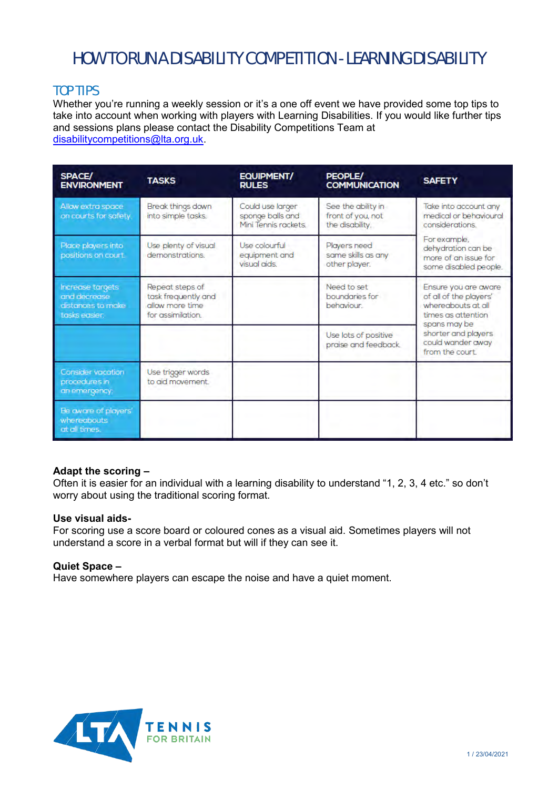# HOW TO RUN A DISABILITY COMPETITION - LEARNING DISABILITY

# TOP TIPS

Whether you're running a weekly session or it's a one off event we have provided some top tips to take into account when working with players with Learning Disabilities. If you would like further tips and sessions plans please contact the Disability Competitions Team at [disabilitycompetitions@lta.org.uk.](mailto:disabilitycompetitions@lta.org.uk)

| <b>SPACE/</b><br><b>ENVIRONMENT</b>                                    | <b>TASKS</b>                                                                   | EQUIPMENT/<br><b>RULES</b>                                   | PEOPLE/<br><b>COMMUNICATION</b>                            | <b>SAFETY</b>                                                                                                                                                             |  |
|------------------------------------------------------------------------|--------------------------------------------------------------------------------|--------------------------------------------------------------|------------------------------------------------------------|---------------------------------------------------------------------------------------------------------------------------------------------------------------------------|--|
| Allow extra space<br>on courts for safety.                             | Break things down<br>into simple tasks.                                        | Could use larger<br>sponge balls and<br>Mini Tennis rackets. | See the ability in<br>front of you, not<br>the disability. | Take into account any<br>medical or behavioural<br>considerations.                                                                                                        |  |
| Place players into<br>positions on court.                              | Use plenty of visual<br>demonstrations.                                        | Use colourful<br>equipment and<br>visual aids.               | Players need<br>same skills as any<br>other player.        | For example.<br>dehydration can be<br>more of an issue for<br>some disabled people.                                                                                       |  |
| Increase targets<br>and decrease<br>distances to make<br>tasks easier. | Repeat steps of<br>task frequently and<br>allow more time<br>for assimilation. |                                                              | Need to set<br>boundaries for<br>behaviour.                | Ensure you are aware<br>of all of the players'<br>whereabouts at all<br>times as attention<br>spans may be<br>shorter and players<br>could wander away<br>from the court. |  |
|                                                                        |                                                                                |                                                              | Use lots of positive<br>praise and feedback.               |                                                                                                                                                                           |  |
| Consider vacation<br>procedures in<br>an emergency.                    | Use trigger words<br>to aid movement.                                          |                                                              |                                                            |                                                                                                                                                                           |  |
| Be aware of players'<br>whereabouts<br>at all times.                   |                                                                                |                                                              |                                                            |                                                                                                                                                                           |  |

# **Adapt the scoring –**

Often it is easier for an individual with a learning disability to understand "1, 2, 3, 4 etc." so don't worry about using the traditional scoring format.

#### **Use visual aids-**

For scoring use a score board or coloured cones as a visual aid. Sometimes players will not understand a score in a verbal format but will if they can see it.

# **Quiet Space –**

Have somewhere players can escape the noise and have a quiet moment.

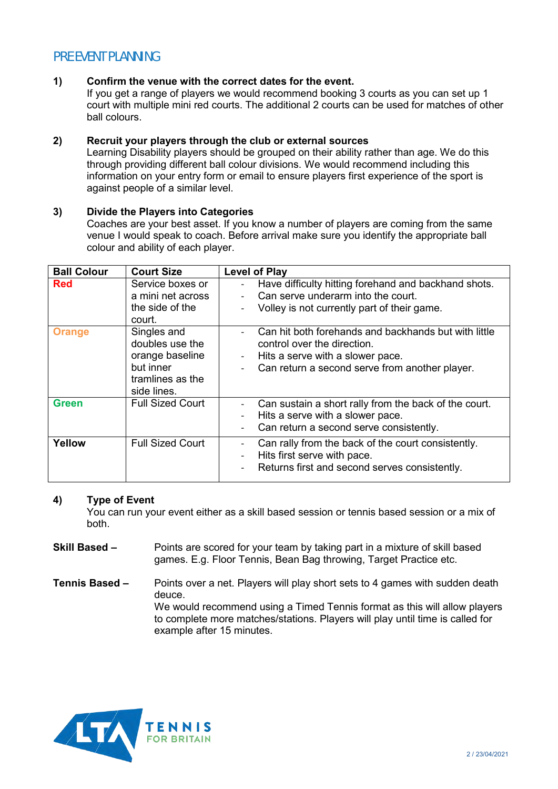# PRE EVENT PLANNING

## **1) Confirm the venue with the correct dates for the event.**

If you get a range of players we would recommend booking 3 courts as you can set up 1 court with multiple mini red courts. The additional 2 courts can be used for matches of other ball colours.

# **2) Recruit your players through the club or external sources**

Learning Disability players should be grouped on their ability rather than age. We do this through providing different ball colour divisions. We would recommend including this information on your entry form or email to ensure players first experience of the sport is against people of a similar level.

# **3) Divide the Players into Categories**

Coaches are your best asset. If you know a number of players are coming from the same venue I would speak to coach. Before arrival make sure you identify the appropriate ball colour and ability of each player.

| <b>Ball Colour</b> | <b>Court Size</b>                                                                                 | <b>Level of Play</b>                                                                                                                                                                                                       |
|--------------------|---------------------------------------------------------------------------------------------------|----------------------------------------------------------------------------------------------------------------------------------------------------------------------------------------------------------------------------|
| <b>Red</b>         | Service boxes or<br>a mini net across<br>the side of the<br>court.                                | Have difficulty hitting forehand and backhand shots.<br>Can serve underarm into the court.<br>Volley is not currently part of their game.<br>$\qquad \qquad -$                                                             |
| <b>Orange</b>      | Singles and<br>doubles use the<br>orange baseline<br>but inner<br>tramlines as the<br>side lines. | Can hit both forehands and backhands but with little<br>control over the direction.<br>Hits a serve with a slower pace.<br>$\qquad \qquad \blacksquare$<br>Can return a second serve from another player.                  |
| <b>Green</b>       | <b>Full Sized Court</b>                                                                           | Can sustain a short rally from the back of the court.<br>$\overline{\phantom{a}}$<br>Hits a serve with a slower pace.<br>$\overline{\phantom{a}}$<br>Can return a second serve consistently.<br>$\overline{\phantom{a}}$   |
| Yellow             | <b>Full Sized Court</b>                                                                           | Can rally from the back of the court consistently.<br>$\qquad \qquad \blacksquare$<br>Hits first serve with pace.<br>$\overline{\phantom{a}}$<br>Returns first and second serves consistently.<br>$\overline{\phantom{a}}$ |

#### **4) Type of Event**

You can run your event either as a skill based session or tennis based session or a mix of both.

- **Skill Based –** Points are scored for your team by taking part in a mixture of skill based games. E.g. Floor Tennis, Bean Bag throwing, Target Practice etc.
- **Tennis Based –** Points over a net. Players will play short sets to 4 games with sudden death deuce. We would recommend using a Timed Tennis format as this will allow players to complete more matches/stations. Players will play until time is called for example after 15 minutes.